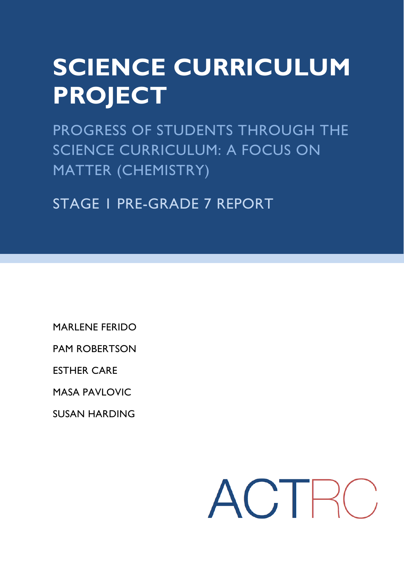# **SCIENCE CURRICULUM PROJECT**

PROGRESS OF STUDENTS THROUGH THE SCIENCE CURRICULUM: A FOCUS ON MATTER (CHEMISTRY)

STAGE 1 PRE-GRADE 7 REPORT

MARLENE FERIDO

PAM ROBERTSON

ESTHER CARE

MASA PAVLOVIC

SUSAN HARDING

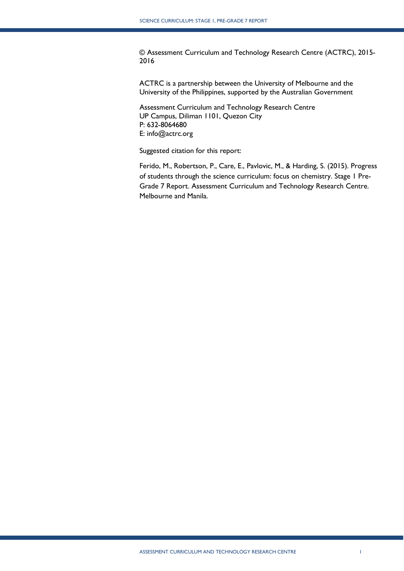© Assessment Curriculum and Technology Research Centre (ACTRC), 2015- 2016

ACTRC is a partnership between the University of Melbourne and the University of the Philippines, supported by the Australian Government

Assessment Curriculum and Technology Research Centre UP Campus, Diliman 1101, Quezon City P: 632-8064680 E: info@actrc.org

Suggested citation for this report:

Ferido, M., Robertson, P., Care, E., Pavlovic, M., & Harding, S. (2015). Progress of students through the science curriculum: focus on chemistry. Stage 1 Pre-Grade 7 Report. Assessment Curriculum and Technology Research Centre. Melbourne and Manila.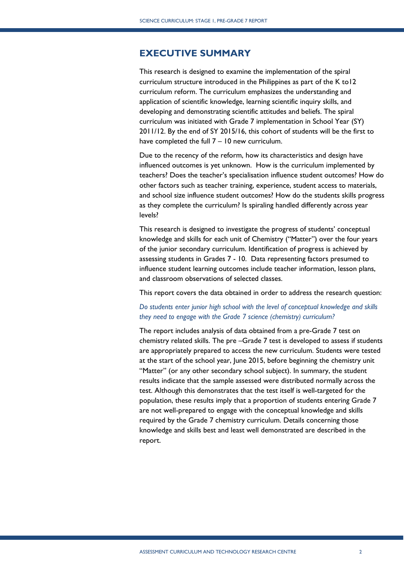## <span id="page-2-0"></span>**EXECUTIVE SUMMARY**

This research is designed to examine the implementation of the spiral curriculum structure introduced in the Philippines as part of the K to12 curriculum reform. The curriculum emphasizes the understanding and application of scientific knowledge, learning scientific inquiry skills, and developing and demonstrating scientific attitudes and beliefs. The spiral curriculum was initiated with Grade 7 implementation in School Year (SY) 2011/12. By the end of SY 2015/16, this cohort of students will be the first to have completed the full 7 – 10 new curriculum.

Due to the recency of the reform, how its characteristics and design have influenced outcomes is yet unknown. How is the curriculum implemented by teachers? Does the teacher's specialisation influence student outcomes? How do other factors such as teacher training, experience, student access to materials, and school size influence student outcomes? How do the students skills progress as they complete the curriculum? Is spiraling handled differently across year levels?

This research is designed to investigate the progress of students' conceptual knowledge and skills for each unit of Chemistry ("Matter") over the four years of the junior secondary curriculum. Identification of progress is achieved by assessing students in Grades 7 - 10. Data representing factors presumed to influence student learning outcomes include teacher information, lesson plans, and classroom observations of selected classes.

This report covers the data obtained in order to address the research question:

#### *Do students enter junior high school with the level of conceptual knowledge and skills they need to engage with the Grade 7 science (chemistry) curriculum?*

The report includes analysis of data obtained from a pre-Grade 7 test on chemistry related skills. The pre –Grade 7 test is developed to assess if students are appropriately prepared to access the new curriculum. Students were tested at the start of the school year, June 2015, before beginning the chemistry unit "Matter" (or any other secondary school subject). In summary, the student results indicate that the sample assessed were distributed normally across the test. Although this demonstrates that the test itself is well-targeted for the population, these results imply that a proportion of students entering Grade 7 are not well-prepared to engage with the conceptual knowledge and skills required by the Grade 7 chemistry curriculum. Details concerning those knowledge and skills best and least well demonstrated are described in the report.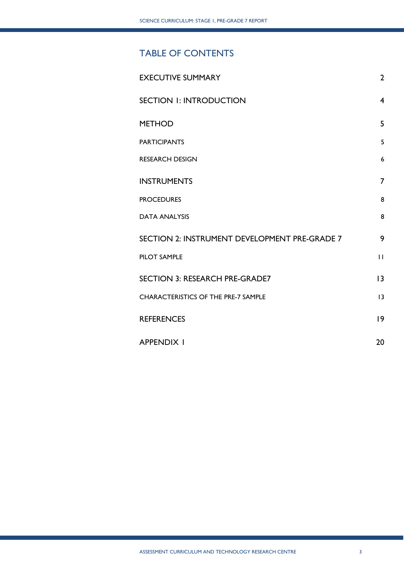## TABLE OF CONTENTS

| <b>EXECUTIVE SUMMARY</b>                      | $\overline{2}$ |
|-----------------------------------------------|----------------|
| <b>SECTION I: INTRODUCTION</b>                | $\overline{4}$ |
| <b>METHOD</b>                                 | 5              |
| <b>PARTICIPANTS</b>                           | 5              |
| <b>RESEARCH DESIGN</b>                        | 6              |
| <b>INSTRUMENTS</b>                            | $\overline{7}$ |
| <b>PROCEDURES</b>                             | 8              |
| <b>DATA ANALYSIS</b>                          | 8              |
| SECTION 2: INSTRUMENT DEVELOPMENT PRE-GRADE 7 | 9              |
| <b>PILOT SAMPLE</b>                           | $\mathbf{H}$   |
| <b>SECTION 3: RESEARCH PRE-GRADE7</b>         | 13             |
| <b>CHARACTERISTICS OF THE PRE-7 SAMPLE</b>    | 3              |
| <b>REFERENCES</b>                             | 9              |
| <b>APPENDIX I</b>                             | 20             |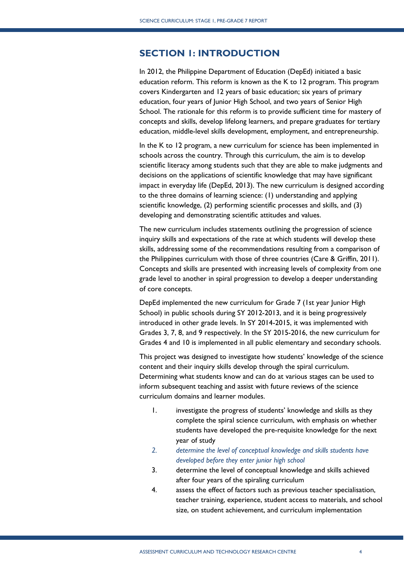## <span id="page-4-0"></span>**SECTION 1: INTRODUCTION**

In 2012, the Philippine Department of Education (DepEd) initiated a basic education reform. This reform is known as the K to 12 program. This program covers Kindergarten and 12 years of basic education; six years of primary education, four years of Junior High School, and two years of Senior High School. The rationale for this reform is to provide sufficient time for mastery of concepts and skills, develop lifelong learners, and prepare graduates for tertiary education, middle-level skills development, employment, and entrepreneurship.

In the K to 12 program, a new curriculum for science has been implemented in schools across the country. Through this curriculum, the aim is to develop scientific literacy among students such that they are able to make judgments and decisions on the applications of scientific knowledge that may have significant impact in everyday life (DepEd, 2013). The new curriculum is designed according to the three domains of learning science: (1) understanding and applying scientific knowledge, (2) performing scientific processes and skills, and (3) developing and demonstrating scientific attitudes and values.

The new curriculum includes statements outlining the progression of science inquiry skills and expectations of the rate at which students will develop these skills, addressing some of the recommendations resulting from a comparison of the Philippines curriculum with those of three countries (Care & Griffin, 2011). Concepts and skills are presented with increasing levels of complexity from one grade level to another in spiral progression to develop a deeper understanding of core concepts.

DepEd implemented the new curriculum for Grade 7 (1st year Junior High School) in public schools during SY 2012-2013, and it is being progressively introduced in other grade levels. In SY 2014-2015, it was implemented with Grades 3, 7, 8, and 9 respectively. In the SY 2015-2016, the new curriculum for Grades 4 and 10 is implemented in all public elementary and secondary schools.

This project was designed to investigate how students' knowledge of the science content and their inquiry skills develop through the spiral curriculum. Determining what students know and can do at various stages can be used to inform subsequent teaching and assist with future reviews of the science curriculum domains and learner modules.

- 1. investigate the progress of students' knowledge and skills as they complete the spiral science curriculum, with emphasis on whether students have developed the pre-requisite knowledge for the next year of study
- *2. determine the level of conceptual knowledge and skills students have developed before they enter junior high school*
- 3. determine the level of conceptual knowledge and skills achieved after four years of the spiraling curriculum
- 4. assess the effect of factors such as previous teacher specialisation, teacher training, experience, student access to materials, and school size, on student achievement, and curriculum implementation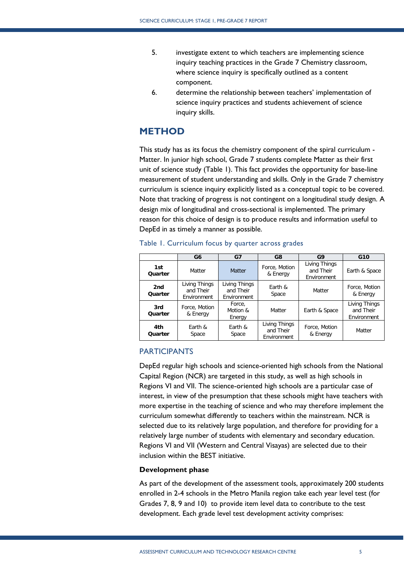- 5. investigate extent to which teachers are implementing science inquiry teaching practices in the Grade 7 Chemistry classroom, where science inquiry is specifically outlined as a content component.
- 6. determine the relationship between teachers' implementation of science inquiry practices and students achievement of science inquiry skills.

## <span id="page-5-0"></span>**METHOD**

This study has as its focus the chemistry component of the spiral curriculum - Matter. In junior high school, Grade 7 students complete Matter as their first unit of science study (Table 1). This fact provides the opportunity for base-line measurement of student understanding and skills. Only in the Grade 7 chemistry curriculum is science inquiry explicitly listed as a conceptual topic to be covered. Note that tracking of progress is not contingent on a longitudinal study design. A design mix of longitudinal and cross-sectional is implemented. The primary reason for this choice of design is to produce results and information useful to DepEd in as timely a manner as possible.

|                | G <sub>6</sub>                            | G7                                        | G8                                        | G <sub>9</sub>                            | G10                                       |
|----------------|-------------------------------------------|-------------------------------------------|-------------------------------------------|-------------------------------------------|-------------------------------------------|
| 1st<br>Quarter | Matter                                    | <b>Matter</b>                             | Force, Motion<br>& Energy                 | Living Things<br>and Their<br>Environment | Earth & Space                             |
| 2nd<br>Quarter | Living Things<br>and Their<br>Environment | Living Things<br>and Their<br>Environment | Earth &<br>Space                          | Matter                                    | Force, Motion<br>& Energy                 |
| 3rd<br>Quarter | Force, Motion<br>& Energy                 | Force,<br>Motion &<br>Energy              | Matter                                    | Earth & Space                             | Living Things<br>and Their<br>Environment |
| 4th<br>Quarter | Earth &<br>Space                          | Earth &<br>Space                          | Living Things<br>and Their<br>Environment | Force, Motion<br>& Energy                 | Matter                                    |

|  | Table 1. Curriculum focus by quarter across grades |  |  |  |
|--|----------------------------------------------------|--|--|--|
|  |                                                    |  |  |  |

#### <span id="page-5-1"></span>PARTICIPANTS

DepEd regular high schools and science-oriented high schools from the National Capital Region (NCR) are targeted in this study, as well as high schools in Regions VI and VII. The science-oriented high schools are a particular case of interest, in view of the presumption that these schools might have teachers with more expertise in the teaching of science and who may therefore implement the curriculum somewhat differently to teachers within the mainstream. NCR is selected due to its relatively large population, and therefore for providing for a relatively large number of students with elementary and secondary education. Regions VI and VII (Western and Central Visayas) are selected due to their inclusion within the BEST initiative.

#### **Development phase**

As part of the development of the assessment tools, approximately 200 students enrolled in 2-4 schools in the Metro Manila region take each year level test (for Grades 7, 8, 9 and 10) to provide item level data to contribute to the test development. Each grade level test development activity comprises: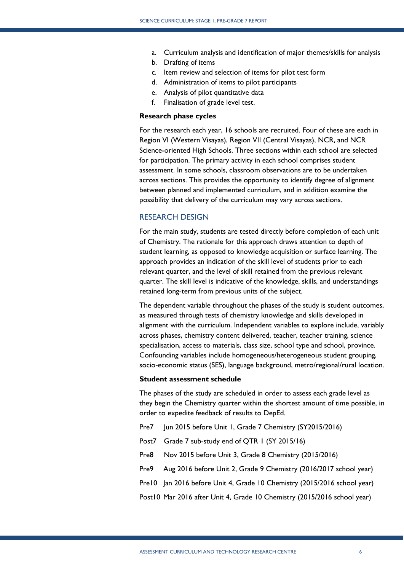- a. Curriculum analysis and identification of major themes/skills for analysis
- b. Drafting of items
- c. Item review and selection of items for pilot test form
- d. Administration of items to pilot participants
- e. Analysis of pilot quantitative data
- f. Finalisation of grade level test.

#### **Research phase cycles**

For the research each year, 16 schools are recruited. Four of these are each in Region VI (Western Visayas), Region VII (Central Visayas), NCR, and NCR Science-oriented High Schools. Three sections within each school are selected for participation. The primary activity in each school comprises student assessment. In some schools, classroom observations are to be undertaken across sections. This provides the opportunity to identify degree of alignment between planned and implemented curriculum, and in addition examine the possibility that delivery of the curriculum may vary across sections.

#### <span id="page-6-0"></span>RESEARCH DESIGN

For the main study, students are tested directly before completion of each unit of Chemistry. The rationale for this approach draws attention to depth of student learning, as opposed to knowledge acquisition or surface learning. The approach provides an indication of the skill level of students prior to each relevant quarter, and the level of skill retained from the previous relevant quarter. The skill level is indicative of the knowledge, skills, and understandings retained long-term from previous units of the subject.

The dependent variable throughout the phases of the study is student outcomes, as measured through tests of chemistry knowledge and skills developed in alignment with the curriculum. Independent variables to explore include, variably across phases, chemistry content delivered, teacher, teacher training, science specialisation, access to materials, class size, school type and school, province. Confounding variables include homogeneous/heterogeneous student grouping, socio-economic status (SES), language background, metro/regional/rural location.

#### **Student assessment schedule**

The phases of the study are scheduled in order to assess each grade level as they begin the Chemistry quarter within the shortest amount of time possible, in order to expedite feedback of results to DepEd.

- Pre7 Jun 2015 before Unit 1, Grade 7 Chemistry (SY2015/2016)
- Post7 Grade 7 sub-study end of QTR 1 (SY 2015/16)
- Pre8 Nov 2015 before Unit 3, Grade 8 Chemistry (2015/2016)
- Pre9 Aug 2016 before Unit 2, Grade 9 Chemistry (2016/2017 school year)
- Pre10 Jan 2016 before Unit 4, Grade 10 Chemistry (2015/2016 school year)

Post10 Mar 2016 after Unit 4, Grade 10 Chemistry (2015/2016 school year)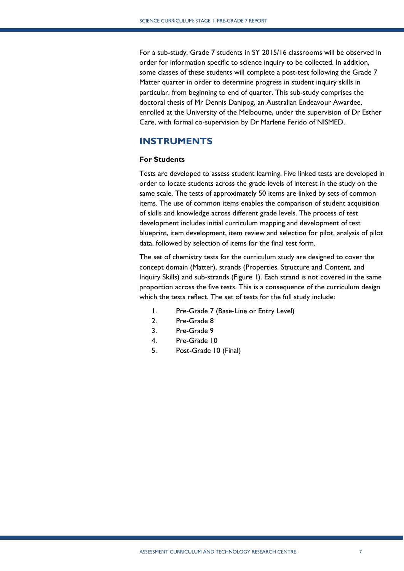For a sub-study, Grade 7 students in SY 2015/16 classrooms will be observed in order for information specific to science inquiry to be collected. In addition, some classes of these students will complete a post-test following the Grade 7 Matter quarter in order to determine progress in student inquiry skills in particular, from beginning to end of quarter. This sub-study comprises the doctoral thesis of Mr Dennis Danipog, an Australian Endeavour Awardee, enrolled at the University of the Melbourne, under the supervision of Dr Esther Care, with formal co-supervision by Dr Marlene Ferido of NISMED.

## <span id="page-7-0"></span>**INSTRUMENTS**

#### **For Students**

Tests are developed to assess student learning. Five linked tests are developed in order to locate students across the grade levels of interest in the study on the same scale. The tests of approximately 50 items are linked by sets of common items. The use of common items enables the comparison of student acquisition of skills and knowledge across different grade levels. The process of test development includes initial curriculum mapping and development of test blueprint, item development, item review and selection for pilot, analysis of pilot data, followed by selection of items for the final test form.

The set of chemistry tests for the curriculum study are designed to cover the concept domain (Matter), strands (Properties, Structure and Content, and Inquiry Skills) and sub-strands (Figure 1). Each strand is not covered in the same proportion across the five tests. This is a consequence of the curriculum design which the tests reflect. The set of tests for the full study include:

- 1. Pre-Grade 7 (Base-Line or Entry Level)
- 2. Pre-Grade 8
- 3. Pre-Grade 9
- 4. Pre-Grade 10
- 5. Post-Grade 10 (Final)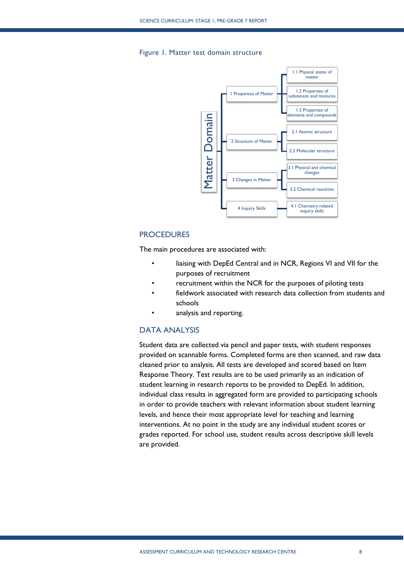#### Figure 1. Matter test domain structure



#### <span id="page-8-0"></span>**PROCEDURES**

The main procedures are associated with:

- liaising with DepEd Central and in NCR, Regions VI and VII for the purposes of recruitment
- recruitment within the NCR for the purposes of piloting tests
- fieldwork associated with research data collection from students and schools
- analysis and reporting.

#### <span id="page-8-1"></span>DATA ANALYSIS

Student data are collected via pencil and paper tests, with student responses provided on scannable forms. Completed forms are then scanned, and raw data cleaned prior to analysis. All tests are developed and scored based on Item Response Theory. Test results are to be used primarily as an indication of student learning in research reports to be provided to DepEd. In addition, individual class results in aggregated form are provided to participating schools in order to provide teachers with relevant information about student learning levels, and hence their most appropriate level for teaching and learning interventions. At no point in the study are any individual student scores or grades reported. For school use, student results across descriptive skill levels are provided.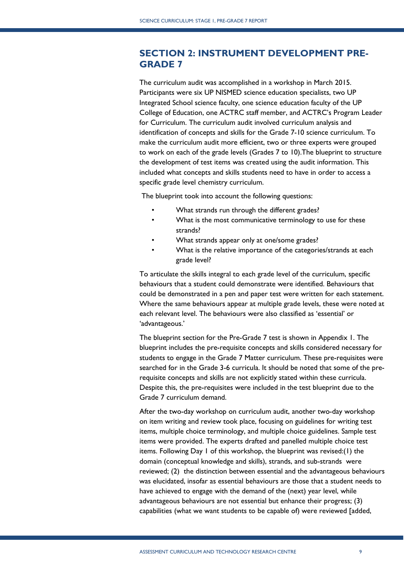## <span id="page-9-0"></span>**SECTION 2: INSTRUMENT DEVELOPMENT PRE-GRADE 7**

The curriculum audit was accomplished in a workshop in March 2015. Participants were six UP NISMED science education specialists, two UP Integrated School science faculty, one science education faculty of the UP College of Education, one ACTRC staff member, and ACTRC's Program Leader for Curriculum. The curriculum audit involved curriculum analysis and identification of concepts and skills for the Grade 7-10 science curriculum. To make the curriculum audit more efficient, two or three experts were grouped to work on each of the grade levels (Grades 7 to 10).The blueprint to structure the development of test items was created using the audit information. This included what concepts and skills students need to have in order to access a specific grade level chemistry curriculum.

The blueprint took into account the following questions:

- What strands run through the different grades?
- What is the most communicative terminology to use for these strands?
- What strands appear only at one/some grades?
- What is the relative importance of the categories/strands at each grade level?

To articulate the skills integral to each grade level of the curriculum, specific behaviours that a student could demonstrate were identified. Behaviours that could be demonstrated in a pen and paper test were written for each statement. Where the same behaviours appear at multiple grade levels, these were noted at each relevant level. The behaviours were also classified as 'essential' or 'advantageous.'

The blueprint section for the Pre-Grade 7 test is shown in Appendix 1. The blueprint includes the pre-requisite concepts and skills considered necessary for students to engage in the Grade 7 Matter curriculum. These pre-requisites were searched for in the Grade 3-6 curricula. It should be noted that some of the prerequisite concepts and skills are not explicitly stated within these curricula. Despite this, the pre-requisites were included in the test blueprint due to the Grade 7 curriculum demand.

After the two-day workshop on curriculum audit, another two-day workshop on item writing and review took place, focusing on guidelines for writing test items, multiple choice terminology, and multiple choice guidelines. Sample test items were provided. The experts drafted and panelled multiple choice test items. Following Day 1 of this workshop, the blueprint was revised:(1) the domain (conceptual knowledge and skills), strands, and sub-strands were reviewed; (2) the distinction between essential and the advantageous behaviours was elucidated, insofar as essential behaviours are those that a student needs to have achieved to engage with the demand of the (next) year level, while advantageous behaviours are not essential but enhance their progress; (3) capabilities (what we want students to be capable of) were reviewed [added,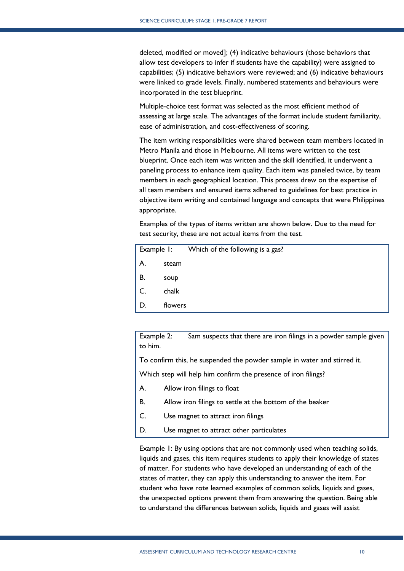deleted, modified or moved]; (4) indicative behaviours (those behaviors that allow test developers to infer if students have the capability) were assigned to capabilities; (5) indicative behaviors were reviewed; and (6) indicative behaviours were linked to grade levels. Finally, numbered statements and behaviours were incorporated in the test blueprint.

Multiple-choice test format was selected as the most efficient method of assessing at large scale. The advantages of the format include student familiarity, ease of administration, and cost-effectiveness of scoring.

The item writing responsibilities were shared between team members located in Metro Manila and those in Melbourne. All items were written to the test blueprint. Once each item was written and the skill identified, it underwent a paneling process to enhance item quality. Each item was paneled twice, by team members in each geographical location. This process drew on the expertise of all team members and ensured items adhered to guidelines for best practice in objective item writing and contained language and concepts that were Philippines appropriate.

Examples of the types of items written are shown below. Due to the need for test security, these are not actual items from the test.

|    |         | Example 1: Which of the following is a gas? |
|----|---------|---------------------------------------------|
| A. | steam   |                                             |
| В. | soup    |                                             |
| C. | chalk   |                                             |
| D. | flowers |                                             |

Example 2: Sam suspects that there are iron filings in a powder sample given to him.

To confirm this, he suspended the powder sample in water and stirred it.

Which step will help him confirm the presence of iron filings?

- A. Allow iron filings to float
- B. Allow iron filings to settle at the bottom of the beaker
- C. Use magnet to attract iron filings
- D. Use magnet to attract other particulates

Example 1: By using options that are not commonly used when teaching solids, liquids and gases, this item requires students to apply their knowledge of states of matter. For students who have developed an understanding of each of the states of matter, they can apply this understanding to answer the item. For student who have rote learned examples of common solids, liquids and gases, the unexpected options prevent them from answering the question. Being able to understand the differences between solids, liquids and gases will assist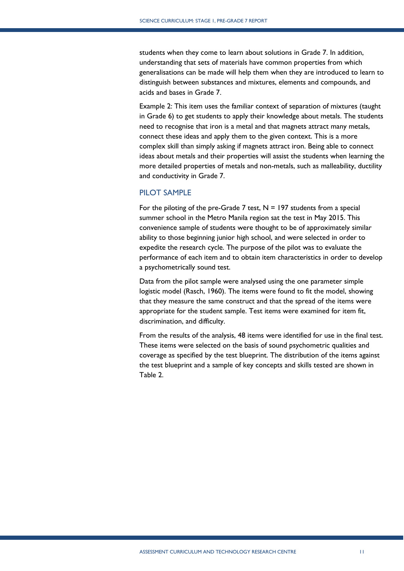students when they come to learn about solutions in Grade 7. In addition, understanding that sets of materials have common properties from which generalisations can be made will help them when they are introduced to learn to distinguish between substances and mixtures, elements and compounds, and acids and bases in Grade 7.

Example 2: This item uses the familiar context of separation of mixtures (taught in Grade 6) to get students to apply their knowledge about metals. The students need to recognise that iron is a metal and that magnets attract many metals, connect these ideas and apply them to the given context. This is a more complex skill than simply asking if magnets attract iron. Being able to connect ideas about metals and their properties will assist the students when learning the more detailed properties of metals and non-metals, such as malleability, ductility and conductivity in Grade 7.

#### <span id="page-11-0"></span>PILOT SAMPLE

For the piloting of the pre-Grade 7 test,  $N = 197$  students from a special summer school in the Metro Manila region sat the test in May 2015. This convenience sample of students were thought to be of approximately similar ability to those beginning junior high school, and were selected in order to expedite the research cycle. The purpose of the pilot was to evaluate the performance of each item and to obtain item characteristics in order to develop a psychometrically sound test.

Data from the pilot sample were analysed using the one parameter simple logistic model (Rasch, 1960). The items were found to fit the model, showing that they measure the same construct and that the spread of the items were appropriate for the student sample. Test items were examined for item fit, discrimination, and difficulty.

From the results of the analysis, 48 items were identified for use in the final test. These items were selected on the basis of sound psychometric qualities and coverage as specified by the test blueprint. The distribution of the items against the test blueprint and a sample of key concepts and skills tested are shown in Table 2.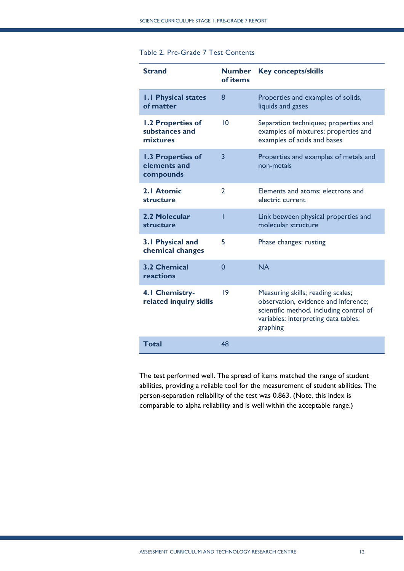### Table 2. Pre-Grade 7 Test Contents

| <b>Strand</b>                                   | <b>Number</b><br>of items | <b>Key concepts/skills</b>                                                                                                                                               |
|-------------------------------------------------|---------------------------|--------------------------------------------------------------------------------------------------------------------------------------------------------------------------|
| <b>I.I Physical states</b><br>of matter         | 8                         | Properties and examples of solids,<br>liquids and gases                                                                                                                  |
| 1.2 Properties of<br>substances and<br>mixtures | 10                        | Separation techniques; properties and<br>examples of mixtures; properties and<br>examples of acids and bases                                                             |
| 1.3 Properties of<br>elements and<br>compounds  | $\overline{3}$            | Properties and examples of metals and<br>non-metals                                                                                                                      |
| 2.1 Atomic<br>structure                         | $\overline{2}$            | Elements and atoms; electrons and<br>electric current                                                                                                                    |
| 2.2 Molecular<br>structure                      | ı                         | Link between physical properties and<br>molecular structure                                                                                                              |
| 3.1 Physical and<br>chemical changes            | 5                         | Phase changes; rusting                                                                                                                                                   |
| <b>3.2 Chemical</b><br>reactions                | $\mathbf{0}$              | <b>NA</b>                                                                                                                                                                |
| 4.1 Chemistry-<br>related inquiry skills        | $\overline{19}$           | Measuring skills; reading scales;<br>observation, evidence and inference;<br>scientific method, including control of<br>variables; interpreting data tables;<br>graphing |
| <b>Total</b>                                    | 48                        |                                                                                                                                                                          |

The test performed well. The spread of items matched the range of student abilities, providing a reliable tool for the measurement of student abilities. The person-separation reliability of the test was 0.863. (Note, this index is comparable to alpha reliability and is well within the acceptable range.)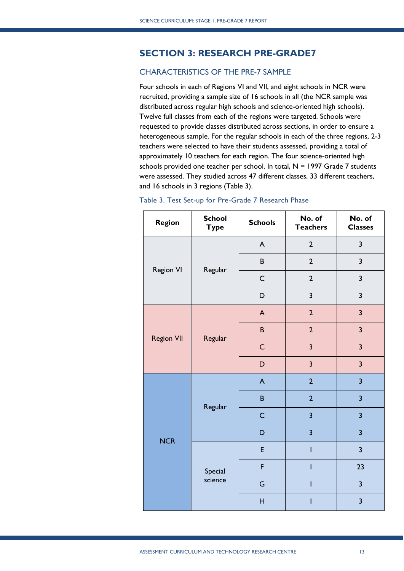## <span id="page-13-0"></span>**SECTION 3: RESEARCH PRE-GRADE7**

## <span id="page-13-1"></span>CHARACTERISTICS OF THE PRE-7 SAMPLE

Four schools in each of Regions VI and VII, and eight schools in NCR were recruited, providing a sample size of 16 schools in all (the NCR sample was distributed across regular high schools and science-oriented high schools). Twelve full classes from each of the regions were targeted. Schools were requested to provide classes distributed across sections, in order to ensure a heterogeneous sample. For the regular schools in each of the three regions, 2-3 teachers were selected to have their students assessed, providing a total of approximately 10 teachers for each region. The four science-oriented high schools provided one teacher per school. In total,  $N = 1997$  Grade 7 students were assessed. They studied across 47 different classes, 33 different teachers, and 16 schools in 3 regions (Table 3).

| <b>Region</b>     | <b>School</b><br><b>Type</b> | <b>Schools</b> | No. of<br><b>Teachers</b> | No. of<br><b>Classes</b> |
|-------------------|------------------------------|----------------|---------------------------|--------------------------|
|                   |                              | A              | $\overline{2}$            | $\mathbf{3}$             |
| <b>Region VI</b>  | Regular                      | $\sf B$        | $\overline{2}$            | $\overline{\mathbf{3}}$  |
|                   |                              | $\mathsf{C}$   | $\overline{2}$            | 3                        |
|                   |                              | D              | $\overline{\mathbf{3}}$   | 3                        |
|                   |                              | A              | $\overline{2}$            | $\overline{\mathbf{3}}$  |
|                   | Regular                      | $\sf{B}$       | $\overline{2}$            | $\overline{\mathbf{3}}$  |
| <b>Region VII</b> |                              | $\mathsf{C}$   | $\overline{3}$            | $\overline{3}$           |
|                   |                              | D              | $\overline{\mathbf{3}}$   | $\overline{\mathbf{3}}$  |
|                   |                              | $\mathsf{A}$   | $\overline{2}$            | $\overline{\mathbf{3}}$  |
|                   | Regular                      | B              | $\overline{2}$            | $\overline{\mathbf{3}}$  |
|                   |                              | $\mathsf{C}$   | $\overline{\mathbf{3}}$   | $\overline{\mathbf{3}}$  |
| <b>NCR</b>        |                              | D              | $\overline{\mathbf{3}}$   | $\overline{\mathbf{3}}$  |
|                   |                              | E              | I                         | $\overline{3}$           |
|                   | Special<br>science           | F              | I                         | 23                       |
|                   |                              | G              | I                         | $\overline{\mathbf{3}}$  |
|                   |                              | $\overline{H}$ |                           | $\overline{\mathbf{3}}$  |

#### Table 3. Test Set-up for Pre-Grade 7 Research Phase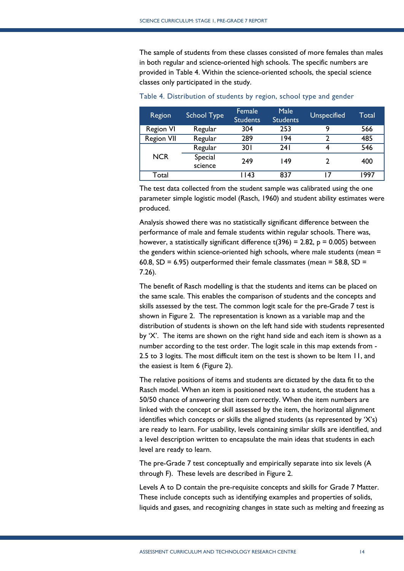The sample of students from these classes consisted of more females than males in both regular and science-oriented high schools. The specific numbers are provided in Table 4. Within the science-oriented schools, the special science classes only participated in the study.

| Region            | <b>School Type</b> | Female<br><b>Students</b> | Male<br><b>Students</b> | <b>Unspecified</b> | Total |
|-------------------|--------------------|---------------------------|-------------------------|--------------------|-------|
| <b>Region VI</b>  | Regular            | 304                       | 253                     | q                  | 566   |
| <b>Region VII</b> | Regular            | 289                       | 194                     |                    | 485   |
|                   | Regular            | 30 I                      | 24 I                    |                    | 546   |
| <b>NCR</b>        | Special<br>science | 249                       | 149                     |                    | 400   |
| Total             |                    | 1143                      | 837                     |                    | 997   |

Table 4. Distribution of students by region, school type and gender

The test data collected from the student sample was calibrated using the one parameter simple logistic model (Rasch, 1960) and student ability estimates were produced.

Analysis showed there was no statistically significant difference between the performance of male and female students within regular schools. There was, however, a statistically significant difference  $t(396) = 2.82$ ,  $p = 0.005$ ) between the genders within science-oriented high schools, where male students (mean = 60.8,  $SD = 6.95$ ) outperformed their female classmates (mean = 58.8,  $SD =$ 7.26).

The benefit of Rasch modelling is that the students and items can be placed on the same scale. This enables the comparison of students and the concepts and skills assessed by the test. The common logit scale for the pre-Grade 7 test is shown in Figure 2. The representation is known as a variable map and the distribution of students is shown on the left hand side with students represented by 'X'. The items are shown on the right hand side and each item is shown as a number according to the test order. The logit scale in this map extends from - 2.5 to 3 logits. The most difficult item on the test is shown to be Item 11, and the easiest is Item 6 (Figure 2).

The relative positions of items and students are dictated by the data fit to the Rasch model. When an item is positioned next to a student, the student has a 50/50 chance of answering that item correctly. When the item numbers are linked with the concept or skill assessed by the item, the horizontal alignment identifies which concepts or skills the aligned students (as represented by 'X's) are ready to learn. For usability, levels containing similar skills are identified, and a level description written to encapsulate the main ideas that students in each level are ready to learn.

The pre-Grade 7 test conceptually and empirically separate into six levels (A through F). These levels are described in Figure 2.

Levels A to D contain the pre-requisite concepts and skills for Grade 7 Matter. These include concepts such as identifying examples and properties of solids, liquids and gases, and recognizing changes in state such as melting and freezing as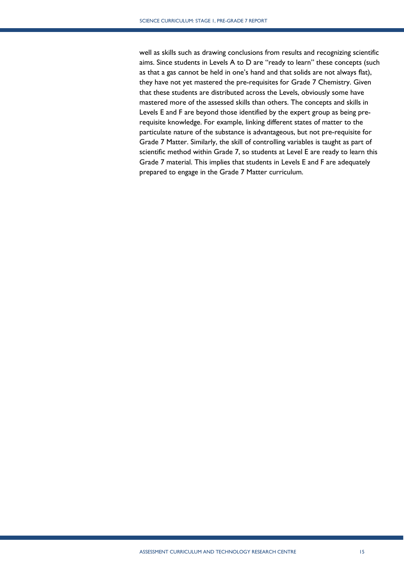well as skills such as drawing conclusions from results and recognizing scientific aims. Since students in Levels A to D are "ready to learn" these concepts (such as that a gas cannot be held in one's hand and that solids are not always flat), they have not yet mastered the pre-requisites for Grade 7 Chemistry. Given that these students are distributed across the Levels, obviously some have mastered more of the assessed skills than others. The concepts and skills in Levels E and F are beyond those identified by the expert group as being prerequisite knowledge. For example, linking different states of matter to the particulate nature of the substance is advantageous, but not pre-requisite for Grade 7 Matter. Similarly, the skill of controlling variables is taught as part of scientific method within Grade 7, so students at Level E are ready to learn this Grade 7 material. This implies that students in Levels E and F are adequately prepared to engage in the Grade 7 Matter curriculum.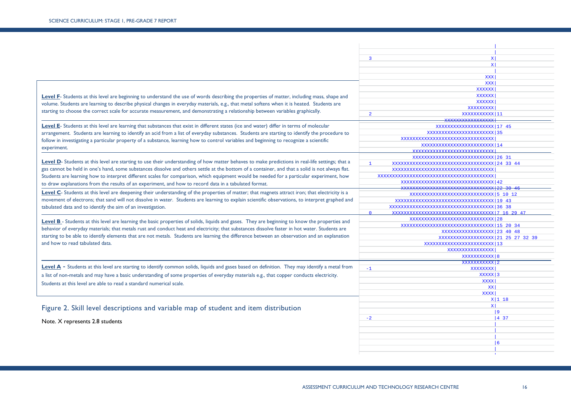|                                                                                                                                                 | $\overline{3}$<br>x <sub>1</sub>                             |                                        |
|-------------------------------------------------------------------------------------------------------------------------------------------------|--------------------------------------------------------------|----------------------------------------|
|                                                                                                                                                 | $\mathbf{x}$                                                 |                                        |
|                                                                                                                                                 |                                                              |                                        |
|                                                                                                                                                 | <b>XXX</b>                                                   |                                        |
|                                                                                                                                                 | <b>XXX</b>                                                   |                                        |
|                                                                                                                                                 | <b>XXXXXX</b>                                                |                                        |
| Level F- Students at this level are beginning to understand the use of words describing the properties of matter, including mass, shape and     | <b>XXXXXX</b>                                                |                                        |
|                                                                                                                                                 | <b>XXXXXX</b>                                                |                                        |
| volume. Students are learning to describe physical changes in everyday materials, e.g., that metal softens when it is heated. Students are      | <b>XXXXXXXXX</b>                                             |                                        |
| starting to choose the correct scale for accurate measurement, and demonstrating a relationship between variables graphically.                  | $\overline{2}$<br>XXXXXXXXXXX   11                           |                                        |
|                                                                                                                                                 |                                                              |                                        |
| Level E- Students at this level are learning that substances that exist in different states (ice and water) differ in terms of molecular        | XXXXXXXXXXXXXXXXXXXX 17 45                                   |                                        |
| arrangement. Students are learning to identify an acid from a list of everyday substances. Students are starting to identify the procedure to   | XXXXXXXXXXXXXXXXXXXXXXXX 35                                  |                                        |
|                                                                                                                                                 | xxxxxxxxxxxxxxxxxxxxxxxxxxxxxx                               |                                        |
| follow in investigating a particular property of a substance, learning how to control variables and beginning to recognize a scientific         | xxxxxxxxxxxxxxxxxxxxxxxxxxxxx                                |                                        |
| experiment.                                                                                                                                     | xxxxxxxxxxxxxxxxxxxxxxxxxx                                   |                                        |
|                                                                                                                                                 |                                                              |                                        |
| Level D- Students at this level are starting to use their understanding of how matter behaves to make predictions in real-life settings; that a |                                                              |                                        |
| gas cannot be held in one's hand, some substances dissolve and others settle at the bottom of a container, and that a solid is not always flat. | $\mathbf{1}$<br>XXXXXXXXXXXXXXXXXXXXXXXXXXXXXXXXXXX 24 33 44 |                                        |
|                                                                                                                                                 | xxxxxxxxxxxxxxxxxxxxxxxxxxxxxxx                              |                                        |
| Students are learning how to interpret different scales for comparison, which equipment would be needed for a particular experiment, how        | xxxxxxxxxxxxxxxxxxxxxxxxxxxxxxxxxxxx                         |                                        |
| to draw explanations from the results of an experiment, and how to record data in a tabulated format.                                           | XXXXXXXXXXXXXXXXXXXXXXXXXXXXXXXXXXXXX                        |                                        |
| Level C- Students at this level are deepening their understanding of the properties of matter; that magnets attract iron; that electricity is a |                                                              |                                        |
|                                                                                                                                                 | XXXXXXXXXXXXXXXXXXXXXXXXXXXXX 5 10 12                        |                                        |
| movement of electrons; that sand will not dissolve in water. Students are learning to explain scientific observations, to interpret graphed and |                                                              |                                        |
| tabulated data and to identify the aim of an investigation.                                                                                     |                                                              |                                        |
|                                                                                                                                                 | $\Omega$                                                     |                                        |
| Level B - Students at this level are learning the basic properties of solids, liquids and gases. They are beginning to know the properties and  | XXXXXXXXXXXXXXXXXXXXXXXXXXXXXXXXXX                           |                                        |
| behavior of everyday materials; that metals rust and conduct heat and electricity; that substances dissolve faster in hot water. Students are   |                                                              |                                        |
|                                                                                                                                                 | XXXXXXXXXXXXXXXXXX 23 40 48                                  |                                        |
| starting to be able to identify elements that are not metals. Students are learning the difference between an observation and an explanation    | XXXXXXXXXXXXXXXXXXX 21 25 27 32 39                           |                                        |
| and how to read tabulated data.                                                                                                                 | XXXXXXXXXXXXXXXXXXXXXXXXXXX                                  |                                        |
|                                                                                                                                                 | XXXXXXXXXXXXXXXX                                             |                                        |
|                                                                                                                                                 | XXXXXXXXXXX 8                                                |                                        |
|                                                                                                                                                 | XXXXXXXXXXX 2                                                |                                        |
| Level A - Students at this level are starting to identify common solids, liquids and gases based on definition. They may identify a metal from  | $-1$<br>XXXXXXXX                                             |                                        |
| a list of non-metals and may have a basic understanding of some properties of everyday materials e.g., that copper conducts electricity.        | XXXXX 3                                                      |                                        |
| Students at this level are able to read a standard numerical scale.                                                                             | <b>XXXX</b>                                                  |                                        |
|                                                                                                                                                 | XX                                                           |                                        |
|                                                                                                                                                 | xxxxl                                                        |                                        |
|                                                                                                                                                 |                                                              | $X 1$ 18                               |
|                                                                                                                                                 | $x \mid$                                                     |                                        |
| Figure 2. Skill level descriptions and variable map of student and item distribution                                                            |                                                              | 9                                      |
|                                                                                                                                                 | $-2$                                                         | $\begin{bmatrix} 4 & 37 \end{bmatrix}$ |
| Note. X represents 2.8 students                                                                                                                 |                                                              |                                        |
|                                                                                                                                                 |                                                              |                                        |
|                                                                                                                                                 |                                                              |                                        |
|                                                                                                                                                 |                                                              | 6                                      |
|                                                                                                                                                 |                                                              |                                        |

ī

produced a series of the control of the control of the control of the control of the control of the contract of the contract of the contract of the contract of the contract of the contract of the contract of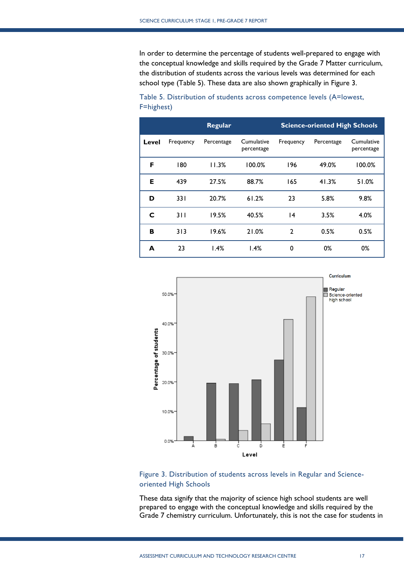In order to determine the percentage of students well-prepared to engage with the conceptual knowledge and skills required by the Grade 7 Matter curriculum, the distribution of students across the various levels was determined for each school type (Table 5). These data are also shown graphically in Figure 3.

|       |           | Regular    | <b>Science-oriented High Schools</b> |                |            |                          |
|-------|-----------|------------|--------------------------------------|----------------|------------|--------------------------|
| Level | Frequency | Percentage | Cumulative<br>percentage             | Frequency      | Percentage | Cumulative<br>percentage |
| F     | 180       | 11.3%      | 100.0%                               | 196            | 49.0%      | 100.0%                   |
| Е     | 439       | 27.5%      | 88.7%                                | 165            | 41.3%      | 51.0%                    |
| D     | 331       | 20.7%      | 61.2%                                | 23             | 5.8%       | 9.8%                     |
| C     | 311       | 19.5%      | 40.5%                                | 4              | 3.5%       | 4.0%                     |
| в     | 313       | 19.6%      | 21.0%                                | $\overline{2}$ | 0.5%       | 0.5%                     |
| A     | 23        | 1.4%       | 1.4%                                 | 0              | 0%         | 0%                       |

Table 5. Distribution of students across competence levels (A=lowest, F=highest)





These data signify that the majority of science high school students are well prepared to engage with the conceptual knowledge and skills required by the Grade 7 chemistry curriculum. Unfortunately, this is not the case for students in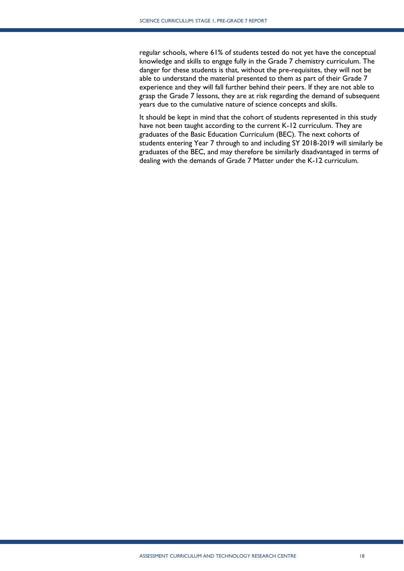regular schools, where 61% of students tested do not yet have the conceptual knowledge and skills to engage fully in the Grade 7 chemistry curriculum. The danger for these students is that, without the pre-requisites, they will not be able to understand the material presented to them as part of their Grade 7 experience and they will fall further behind their peers. If they are not able to grasp the Grade 7 lessons, they are at risk regarding the demand of subsequent years due to the cumulative nature of science concepts and skills.

It should be kept in mind that the cohort of students represented in this study have not been taught according to the current K-12 curriculum. They are graduates of the Basic Education Curriculum (BEC). The next cohorts of students entering Year 7 through to and including SY 2018-2019 will similarly be graduates of the BEC, and may therefore be similarly disadvantaged in terms of dealing with the demands of Grade 7 Matter under the K-12 curriculum.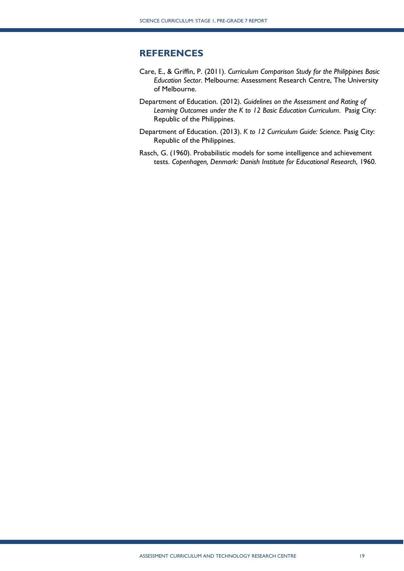## <span id="page-19-0"></span>**REFERENCES**

- Care, E., & Griffin, P. (2011). *Curriculum Comparison Study for the Philippines Basic Education Sector*. Melbourne: Assessment Research Centre, The University of Melbourne.
- Department of Education. (2012). *Guidelines on the Assessment and Rating of Learning Outcomes under the K to 12 Basic Education Curriculum*. Pasig City: Republic of the Philippines.
- Department of Education. (2013). *K to 12 Curriculum Guide: Science*. Pasig City: Republic of the Philippines.
- Rasch, G. (1960). Probabilistic models for some intelligence and achievement tests. *Copenhagen, Denmark: Danish Institute for Educational Research*, 1960.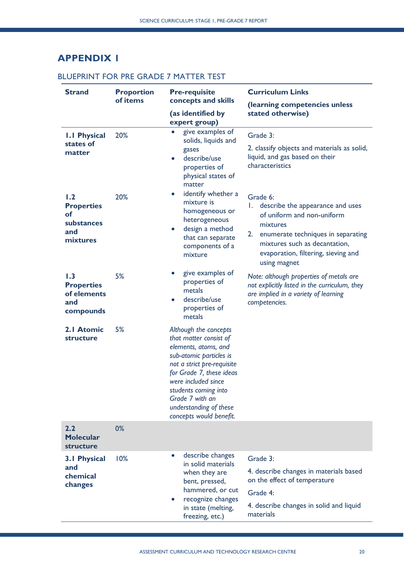# <span id="page-20-0"></span>**APPENDIX 1**

## BLUEPRINT FOR PRE GRADE 7 MATTER TEST

| <b>Strand</b>                                               | <b>Proportion</b>                     | <b>Pre-requisite</b>                                                                                                                                                                                                                                                                | <b>Curriculum Links</b>                                                                                                                           |
|-------------------------------------------------------------|---------------------------------------|-------------------------------------------------------------------------------------------------------------------------------------------------------------------------------------------------------------------------------------------------------------------------------------|---------------------------------------------------------------------------------------------------------------------------------------------------|
|                                                             | of items                              | concepts and skills                                                                                                                                                                                                                                                                 | (learning competencies unless                                                                                                                     |
|                                                             |                                       | (as identified by<br>expert group)                                                                                                                                                                                                                                                  | stated otherwise)                                                                                                                                 |
| <b>I.I Physical</b><br>states of<br>matter                  | 20%                                   | give examples of<br>$\bullet$<br>solids, liquids and<br>gases<br>describe/use                                                                                                                                                                                                       | Grade 3:<br>2. classify objects and materials as solid,<br>liquid, and gas based on their                                                         |
|                                                             |                                       | properties of<br>physical states of<br>matter                                                                                                                                                                                                                                       | characteristics                                                                                                                                   |
| 1.2<br><b>Properties</b><br>of<br>substances                | 20%                                   | identify whether a<br>$\bullet$<br>mixture is<br>homogeneous or<br>heterogeneous                                                                                                                                                                                                    | Grade 6:<br>describe the appearance and uses<br>L.<br>of uniform and non-uniform<br>mixtures                                                      |
| and<br>mixtures                                             |                                       | design a method<br>$\bullet$<br>that can separate<br>components of a<br>mixture                                                                                                                                                                                                     | 2.<br>enumerate techniques in separating<br>mixtures such as decantation,<br>evaporation, filtering, sieving and<br>using magnet                  |
| 1.3<br><b>Properties</b><br>of elements<br>and<br>compounds | 5%                                    | give examples of<br>properties of<br>metals<br>describe/use<br>$\bullet$<br>properties of<br>metals                                                                                                                                                                                 | Note: although properties of metals are<br>not explicitly listed in the curriculum, they<br>are implied in a variety of learning<br>competencies. |
| 2.1 Atomic<br>structure                                     | 5%                                    | Although the concepts<br>that matter consist of<br>elements, atoms, and<br>sub-atomic particles is<br>not a strict pre-requisite<br>for Grade 7, these ideas<br>were included since<br>students coming into<br>Grade 7 with an<br>understanding of these<br>concepts would benefit. |                                                                                                                                                   |
| 2.2<br><b>Molecular</b><br>structure                        | 0%                                    |                                                                                                                                                                                                                                                                                     |                                                                                                                                                   |
| <b>3.1 Physical</b><br>and<br>chemical<br>changes           | 10%                                   | describe changes<br>in solid materials<br>when they are<br>bent, pressed,<br>hammered, or cut<br>recognize changes                                                                                                                                                                  | Grade 3:<br>4. describe changes in materials based<br>on the effect of temperature<br>Grade 4:                                                    |
|                                                             | in state (melting,<br>freezing, etc.) |                                                                                                                                                                                                                                                                                     | 4. describe changes in solid and liquid<br>materials                                                                                              |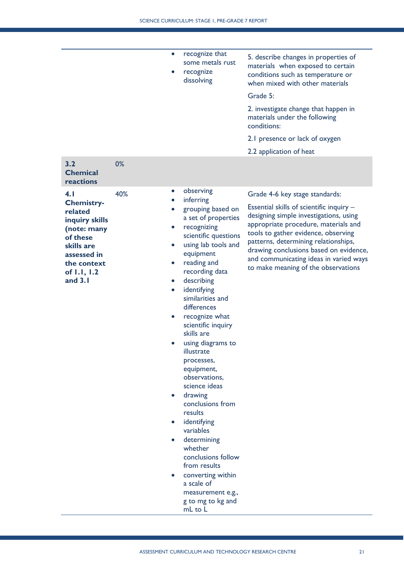|                                                                                                                                                          | $\bullet$                                                                         | recognize that<br>some metals rust<br>recognize<br>dissolving                                                                                                                                                                                                                                                                                                                                                                                                                                                                                                                                                                       | 5. describe changes in properties of<br>materials when exposed to certain<br>conditions such as temperature or<br>when mixed with other materials<br>Grade 5:<br>2. investigate change that happen in<br>materials under the following<br>conditions:<br>2.1 presence or lack of oxygen<br>2.2 application of heat                                                     |
|----------------------------------------------------------------------------------------------------------------------------------------------------------|-----------------------------------------------------------------------------------|-------------------------------------------------------------------------------------------------------------------------------------------------------------------------------------------------------------------------------------------------------------------------------------------------------------------------------------------------------------------------------------------------------------------------------------------------------------------------------------------------------------------------------------------------------------------------------------------------------------------------------------|------------------------------------------------------------------------------------------------------------------------------------------------------------------------------------------------------------------------------------------------------------------------------------------------------------------------------------------------------------------------|
| 3.2<br><b>Chemical</b><br>reactions                                                                                                                      | 0%                                                                                |                                                                                                                                                                                                                                                                                                                                                                                                                                                                                                                                                                                                                                     |                                                                                                                                                                                                                                                                                                                                                                        |
| 4.1<br><b>Chemistry-</b><br>related<br>inquiry skills<br>(note: many<br>of these<br>skills are<br>assessed in<br>the context<br>of 1.1, 1.2<br>and $3.1$ | 40%<br>$\bullet$<br>$\bullet$<br>$\bullet$<br>$\bullet$<br>$\bullet$<br>$\bullet$ | observing<br>inferring<br>grouping based on<br>a set of properties<br>recognizing<br>scientific questions<br>using lab tools and<br>equipment<br>reading and<br>recording data<br>describing<br>identifying<br>similarities and<br>differences<br>recognize what<br>scientific inquiry<br>skills are<br>using diagrams to<br>illustrate<br>processes,<br>equipment,<br>observations,<br>science ideas<br>drawing<br>conclusions from<br>results<br>identifying<br>variables<br>determining<br>whether<br>conclusions follow<br>from results<br>converting within<br>a scale of<br>measurement e.g.,<br>g to mg to kg and<br>mL to L | Grade 4-6 key stage standards:<br>Essential skills of scientific inquiry -<br>designing simple investigations, using<br>appropriate procedure, materials and<br>tools to gather evidence, observing<br>patterns, determining relationships,<br>drawing conclusions based on evidence,<br>and communicating ideas in varied ways<br>to make meaning of the observations |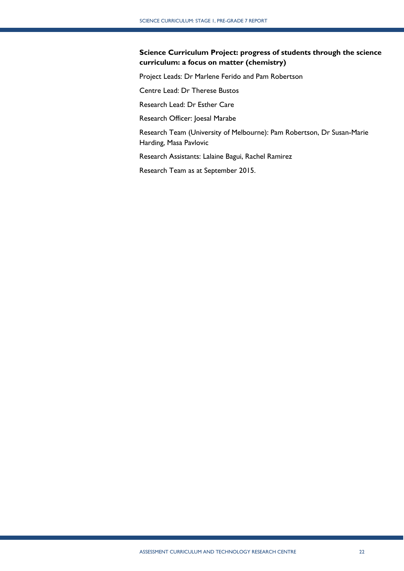## **Science Curriculum Project: progress of students through the science curriculum: a focus on matter (chemistry)**

Project Leads: Dr Marlene Ferido and Pam Robertson

Centre Lead: Dr Therese Bustos

Research Lead: Dr Esther Care

Research Officer: Joesal Marabe

Research Team (University of Melbourne): Pam Robertson, Dr Susan-Marie Harding, Masa Pavlovic

Research Assistants: Lalaine Bagui, Rachel Ramirez

Research Team as at September 2015.